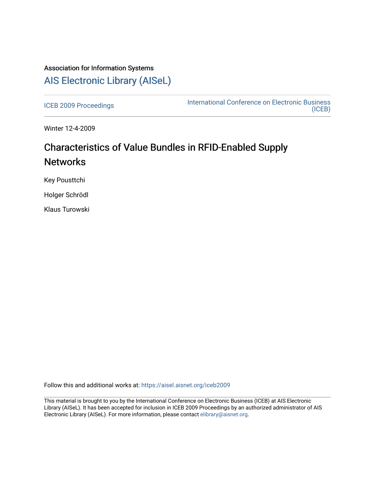# Association for Information Systems [AIS Electronic Library \(AISeL\)](https://aisel.aisnet.org/)

[ICEB 2009 Proceedings](https://aisel.aisnet.org/iceb2009) **International Conference on Electronic Business** [\(ICEB\)](https://aisel.aisnet.org/iceb) 

Winter 12-4-2009

# Characteristics of Value Bundles in RFID-Enabled Supply **Networks**

Key Pousttchi

Holger Schrödl

Klaus Turowski

Follow this and additional works at: [https://aisel.aisnet.org/iceb2009](https://aisel.aisnet.org/iceb2009?utm_source=aisel.aisnet.org%2Ficeb2009%2F133&utm_medium=PDF&utm_campaign=PDFCoverPages)

This material is brought to you by the International Conference on Electronic Business (ICEB) at AIS Electronic Library (AISeL). It has been accepted for inclusion in ICEB 2009 Proceedings by an authorized administrator of AIS Electronic Library (AISeL). For more information, please contact [elibrary@aisnet.org.](mailto:elibrary@aisnet.org%3E)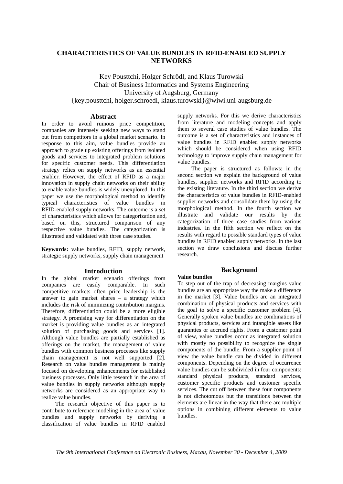# **CHARACTERISTICS OF VALUE BUNDLES IN RFID-ENABLED SUPPLY NETWORKS**

Key Pousttchi, Holger Schrödl, and Klaus Turowski Chair of Business Informatics and Systems Engineering University of Augsburg, Germany {key.pousttchi, holger.schroedl, klaus.turowski}@wiwi.uni-augsburg.de

# **Abstract**

In order to avoid ruinous price competition, companies are intensely seeking new ways to stand out from competitors in a global market scenario. In response to this aim, value bundles provide an approach to grade up existing offerings from isolated goods and services to integrated problem solutions for specific customer needs. This differentiation strategy relies on supply networks as an essential enabler. However, the effect of RFID as a major innovation in supply chain networks on their ability to enable value bundles is widely unexplored. In this paper we use the morphological method to identify typical characteristics of value bundles in RFID-enabled supply networks. The outcome is a set of characteristics which allows for categorization and, based on this, structured comparison of any respective value bundles. The categorization is illustrated and validated with three case studies.

**Keywords:** value bundles, RFID, supply network, strategic supply networks, supply chain management

#### **Introduction**

In the global market scenario offerings from companies are easily comparable. In such competitive markets often price leadership is the answer to gain market shares – a strategy which includes the risk of minimizing contribution margins. Therefore, differentiation could be a more eligible strategy. A promising way for differentiation on the market is providing value bundles as an integrated solution of purchasing goods and services [1]. Although value bundles are partially established as offerings on the market, the management of value bundles with common business processes like supply chain management is not well supported  $\overrightarrow{[2]}$ . Research on value bundles management is mainly focused on developing enhancements for established business processes. Only little research in the area of value bundles in supply networks although supply networks are considered as an appropriate way to realize value bundles.

The research objective of this paper is to contribute to reference modeling in the area of value bundles and supply networks by deriving a classification of value bundles in RFID enabled

supply networks. For this we derive characteristics from literature and modeling concepts and apply them to several case studies of value bundles. The outcome is a set of characteristics and instances of value bundles in RFID enabled supply networks which should be considered when using RFID technology to improve supply chain management for value bundles.

The paper is structured as follows: in the second section we explain the background of value bundles, supplier networks and RFID according to the existing literature. In the third section we derive the characteristics of value bundles in RFID-enabled supplier networks and consolidate them by using the morphological method. In the fourth section we illustrate and validate our results by the categorization of three case studies from various industries. In the fifth section we reflect on the results with regard to possible standard types of value bundles in RFID enabled supply networks. In the last section we draw conclusions and discuss further research.

# **Background**

#### **Value bundles**

To step out of the trap of decreasing margins value bundles are an appropriate way the make a difference in the market [3]. Value bundles are an integrated combination of physical products and services with the goal to solve a specific customer problem [4]. Generally spoken value bundles are combinations of physical products, services and intangible assets like guaranties or accrued rights. From a customer point of view, value bundles occur as integrated solution with mostly no possibility to recognize the single components of the bundle. From a supplier point of view the value bundle can be divided in different components. Depending on the degree of occurrence value bundles can be subdivided in four components: standard physical products, standard services, customer specific products and customer specific services. The cut off between these four components is not dichotomous but the transitions between the elements are linear in the way that there are multiple options in combining different elements to value bundles.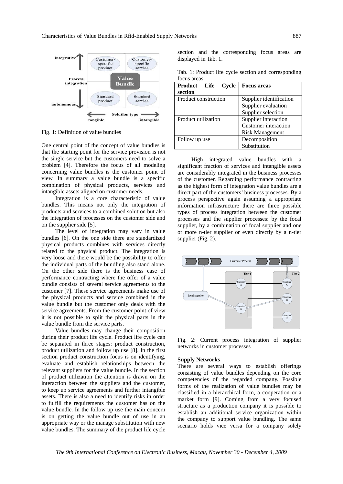

Fig. 1: Definition of value bundles

One central point of the concept of value bundles is that the starting point for the service provision is not the single service but the customers need to solve a problem [4]. Therefore the focus of all modeling concerning value bundles is the customer point of view. In summary a value bundle is a specific combination of physical products, services and intangible assets aligned on customer needs.

Integration is a core characteristic of value bundles. This means not only the integration of products and services to a combined solution but also the integration of processes on the customer side and on the supplier side [5].

The level of integration may vary in value bundles [6]. On the one side there are standardized physical products combines with services directly related to the physical product. The integration is very loose and there would be the possibility to offer the individual parts of the bundling also stand alone. On the other side there is the business case of performance contracting where the offer of a value bundle consists of several service agreements to the customer [7]. These service agreements make use of the physical products and service combined in the value bundle but the customer only deals with the service agreements. From the customer point of view it is not possible to split the physical parts in the value bundle from the service parts.

Value bundles may change their composition during their product life cycle. Product life cycle can be separated in three stages: product construction, product utilization and follow up use [8]. In the first section product construction focus is on identifying. evaluate and establish relationships between the relevant suppliers for the value bundle. In the section of product utilization the attention is drawn on the interaction between the suppliers and the customer, to keep up service agreements and further intangible assets. There is also a need to identify risks in order to fulfill the requirements the customer has on the value bundle. In the follow up use the main concern is on getting the value bundle out of use in an appropriate way or the manage substitution with new value bundles. The summary of the product life cycle

section and the corresponding focus areas are displayed in Tab. 1.

|             |  |  | Tab. 1: Product life cycle section and corresponding |
|-------------|--|--|------------------------------------------------------|
| focus areas |  |  |                                                      |

| <b>Product</b><br>Life<br>Cycle<br>section | <b>Focus areas</b>                                                                                  |
|--------------------------------------------|-----------------------------------------------------------------------------------------------------|
| Product construction                       | Supplier identification<br>Supplier evaluation                                                      |
| Product utilization                        | Supplier selection<br>Supplier interaction<br><b>Customer</b> interaction<br><b>Risk Management</b> |
| Follow up use                              | Decomposition<br>Substitution                                                                       |

High integrated value bundles with a significant fraction of services and intangible assets are considerably integrated in the business processes of the customer. Regarding performance contracting as the highest form of integration value bundles are a direct part of the customers' business processes. By a process perspective again assuming a appropriate information infrastructure there are three possible types of process integration between the customer processes and the supplier processes: by the focal supplier, by a combination of focal supplier and one or more n-tier supplier or even directly by a n-tier supplier (Fig. 2).



Fig. 2: Current process integration of supplier networks in customer processes

#### **Supply Networks**

There are several ways to establish offerings consisting of value bundles depending on the core competencies of the regarded company. Possible forms of the realization of value bundles may be classified in a hierarchical form, a cooperation or a market form [9]. Coming from a very focused structure as a production company it is possible to establish an additional service organization within the company to support value bundling. The same scenario holds vice versa for a company solely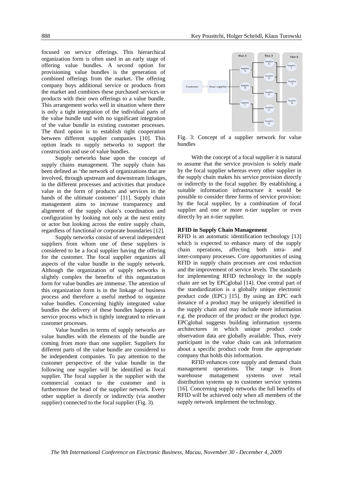focused on service offerings. This hierarchical organization form is often used in an early stage of offering value bundles. A second option for provisioning value bundles is the generation of combined offerings from the market. The offering company buys additional service or products from the market and combines these purchased services or products with their own offerings to a value bundle. This arrangement works well in situation where there is only a tight integration of the individual parts of the value bundle und with no significant integration of the value bundle in existing customer processes. The third option is to establish tight cooperation between different supplier companies [10]. This option leads to supply networks to support the construction and use of value bundles.

Supply networks base upon the concept of supply chains management. The supply chain has been defined as 'the network of organizations that are involved, through upstream and downstream linkages, in the different processes and activities that produce value in the form of products and services in the hands of the ultimate customer' [11]. Supply chain management aims to increase transparency and alignment of the supply chain's coordination and configuration by looking not only at the next entity or actor but looking across the entire supply chain, regardless of functional or corporate boundaries [12].

Supply networks consist of several independent suppliers from whom one of these suppliers is considered to be a focal supplier having the offering for the customer. The focal supplier organizes all aspects of the value bundle in the supply network. Although the organization of supply networks is slightly complex the benefits of this organization form for value bundles are immense. The attention of this organization form is in the linkage of business process and therefore a useful method to organize value bundles. Concerning highly integrated value bundles the delivery of these bundles happens in a service process which is tightly integrated to relevant customer processes.

Value bundles in terms of supply networks are value bundles with the elements of the bundle are coming from more than one supplier. Suppliers for different parts of the value bundle are considered to be independent companies. To pay attention to the customer perspective of the value bundle in the following one supplier will be identified as focal supplier. The focal supplier is the supplier with the commercial contact to the customer and is furthermore the head of the supplier network. Every other supplier is directly or indirectly (via another supplier) connected to the focal supplier (Fig. 3).



Fig. 3: Concept of a supplier network for value bundles

With the concept of a focal supplier it is natural to assume that the service provision is solely made by the focal supplier whereas every other supplier in the supply chain makes his service provision directly or indirectly to the focal supplier. By establishing a suitable information infrastructure it would be possible to consider three forms of service provision: by the focal supplier, by a combination of focal supplier and one or more n-tier supplier or even directly by an n-tier supplier.

#### **RFID in Supply Chain Management**

RFID is an automatic identification technology [13] which is expected to enhance many of the supply chain operations, affecting both intra- and inter-company processes. Core opportunities of using RFID in supply chain processes are cost reduction and the improvement of service levels. The standards for implementing RFID technology in the supply chain are set by EPCglobal [14]. One central part of the standardization is a globally unique electronic product code (EPC) [15]. By using an EPC each instance of a product may be uniquely identified in the supply chain and may include more information e.g. the producer of the product or the product type. EPCglobal suggests building information systems architectures in which unique product code observation data are globally available. Thus, every participant in the value chain can ask information about a specific product code from the appropriate company that holds this information.

RFID enhances core supply and demand chain management operations. The range is from warehouse management systems over retail distribution systems up to customer service systems [16]. Concerning supply networks the full benefits of RFID will be achieved only when all members of the supply network implement the technology.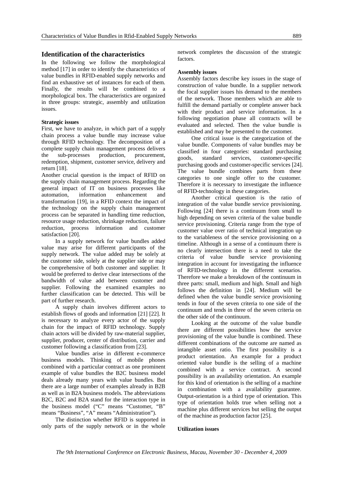## **Identification of the characteristics**

In the following we follow the morphological method [17] in order to identify the characteristics of value bundles in RFID-enabled supply networks and find an exhaustive set of instances for each of them. Finally, the results will be combined to a morphological box. The characteristics are organized in three groups: strategic, assembly and utilization issues.

#### **Strategic issues**

First, we have to analyze, in which part of a supply chain process a value bundle may increase value through RFID technology. The decomposition of a complete supply chain management process delivers the sub-processes production, procurement, redemption, shipment, customer service, delivery and return [18].

Another crucial question is the impact of RFID on the supply chain management process. Regarding the general impact of IT on business processes like automation, information enhancement and transformation [19], in a RFID context the impact of the technology on the supply chain management process can be separated in handling time reduction, resource usage reduction, shrinkage reduction, failure reduction, process information and customer satisfaction [20].

In a supply network for value bundles added value may arise for different participants of the supply network. The value added may be solely at the customer side, solely at the supplier side or may be comprehensive of both customer and supplier. It would be preferred to derive clear intersections of the bandwidth of value add between customer and supplier. Following the examined examples no further classification can be detected. This will be part of further research.

A supply chain involves different actors to establish flows of goods and information [21] [22]. It is necessary to analyze every actor of the supply chain for the impact of RFID technology. Supply chain actors will be divided by raw-material supplier, supplier, producer, center of distribution, carrier and customer following a classification from [23].

Value bundles arise in different e-commerce business models. Thinking of mobile phones combined with a particular contract as one prominent example of value bundles the B2C business model deals already many years with value bundles. But there are a large number of examples already in B2B as well as in B2A business models. The abbreviations B2C, B2C and B2A stand for the interaction type in the business model ("C" means "Customer, "B" means "Business", "A" means "Administration").

The distinction whether RFID is supported in only parts of the supply network or in the whole

network completes the discussion of the strategic factors.

#### **Assembly issues**

Assembly factors describe key issues in the stage of construction of value bundle. In a supplier network the focal supplier issues his demand to the members of the network. Those members which are able to fulfill the demand partially or complete answer back with their product and service information. In a following negotiation phase all contracts will be evaluated and selected. Then the value bundle is established and may be presented to the customer.

One critical issue is the categorization of the value bundle. Components of value bundles may be classified in four categories: standard purchasing goods, standard services, customer-specific purchasing goods and customer-specific services [24]. The value bundle combines parts from these categories to one single offer to the customer. Therefore it is necessary to investigate the influence of RFID-technology in these categories.

Another critical question is the ratio of integration of the value bundle service provisioning. Following [24] there is a continuum from small to high depending on seven criteria of the value bundle service provisioning. Criteria range from the type of customer value over ratio of technical integration up to the variableness of the service provisioning on a timeline. Although in a sense of a continuum there is no clearly intersection there is a need to take the criteria of value bundle service provisioning integration in account for investigating the influence of RFID-technology in the different scenarios. Therefore we make a breakdown of the continuum in three parts: small, medium and high. Small and high follows the definition in [24]. Medium will be defined when the value bundle service provisioning tends in four of the seven criteria to one side of the continuum and tends in three of the seven criteria on the other side of the continuum.

Looking at the outcome of the value bundle there are different possibilities how the service provisioning of the value bundle is combined. These different combinations of the outcome are named as intangible asset ratio. The first possibility is a product orientation. An example for a product oriented value bundle is the selling of a machine combined with a service contract. A second possibility is an availability orientation. An example for this kind of orientation is the selling of a machine in combination with a availability guarantee. Output-orientation is a third type of orientation. This type of orientation holds true when selling not a machine plus different services but selling the output of the machine as production factor [25].

#### **Utilization issues**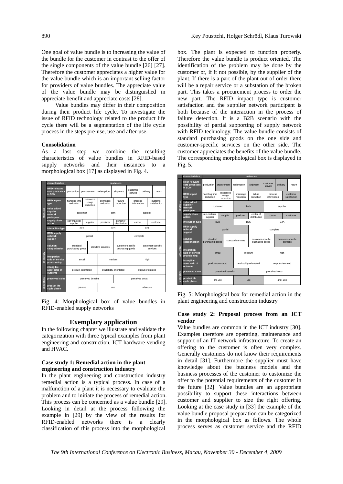One goal of value bundle is to increasing the value of the bundle for the customer in contrast to the offer of the single components of the value bundle [26] [27]. Therefore the customer appreciates a higher value for the value bundle which is an important selling factor for providers of value bundles. The appreciate value of the value bundle may be distinguished in appreciate benefit and appreciate costs [28].

Value bundles may differ in their composition during their product life cycle. To investigate the issue of RFID technology related to the product life cycle there will be a segmentation of the life cycle process in the steps pre-use, use and after-use.

#### **Consolidation**

As a last step we combine the resulting characteristics of value bundles in RFID-based supply networks and their instances to a morphological box [17] as displayed in Fig. 4.

|             | characteristics                                   | instances                    |             |                                 |                         |                                      |                     |                               |  |                          |  |
|-------------|---------------------------------------------------|------------------------------|-------------|---------------------------------|-------------------------|--------------------------------------|---------------------|-------------------------------|--|--------------------------|--|
| strategic   | <b>RFID-relevant</b><br>core processes<br>in SCM  | production                   | procurement |                                 | redemption              | shipment                             | customer<br>service | delivery                      |  | return                   |  |
|             | <b>RFID impact</b><br>type                        | handling time<br>reduction   |             | ressource<br>usage<br>reduction | shrinkage<br>reduction  | failure<br>reduction                 |                     | process<br>information        |  | customer<br>satisfaction |  |
|             | value added<br>supplier<br>network<br>participant | customer                     |             |                                 | both                    |                                      | supplier            |                               |  |                          |  |
|             | supply chain<br>actors                            | raw-material<br>supplier     |             | supplier                        | producer                | center of<br>distribution            | carrier             |                               |  | customer                 |  |
|             | interaction type                                  | B <sub>2</sub> B             |             |                                 | B <sub>2C</sub>         |                                      |                     | B <sub>2</sub> A              |  |                          |  |
|             | <b>RFID supply</b><br>network<br>support          |                              |             | partial                         |                         | complete                             |                     |                               |  |                          |  |
|             | solution<br>categorization                        | standard<br>purchasing goods |             |                                 | standard services       | customer-specific<br>puchasing goods |                     | customer-specific<br>services |  |                          |  |
| assembly    | integration<br>ratio of service<br>provisioning   | small                        |             |                                 | medium                  |                                      | high                |                               |  |                          |  |
|             | intangible<br>asset ratio of<br>outcome           | product-orientated           |             |                                 | availability-orientated |                                      |                     | output-orientated             |  |                          |  |
|             | preceived value                                   | preceived benefits           |             |                                 |                         |                                      |                     | preceived costs               |  |                          |  |
| utilization | product life<br>cycle phase                       |                              | pre-use     |                                 | use                     |                                      | after-use           |                               |  |                          |  |

Fig. 4: Morphological box of value bundles in RFID-enabled supply networks

#### **Exemplary application**

In the following chapter we illustrate and validate the categorization with three typical examples from plant engineering and construction, ICT hardware vending and HVAC.

# **Case study 1: Remedial action in the plant engineering and construction industry**

In the plant engineering and construction industry remedial action is a typical process. In case of a malfunction of a plant it is necessary to evaluate the problem and to initiate the process of remedial action. This process can be concerned as a value bundle [29]. Looking in detail at the process following the example in [29] by the view of the results for RFID-enabled networks there is a clearly classification of this process into the morphological

box. The plant is expected to function properly. Therefore the value bundle is product oriented. The identification of the problem may be done by the customer or, if it not possible, by the supplier of the plant. If there is a part of the plant out of order there will be a repair service or a substation of the broken part. This takes a procurement process to order the new part. The RFID impact type is customer satisfaction and the supplier network participant is both because of the interaction in the process of failure detection. It is a B2B scenario with the possibility of partial supporting of supply network with RFID technology. The value bundle consists of standard purchasing goods on the one side and customer-specific services on the other side. The customer appreciates the benefits of the value bundle. The corresponding morphological box is displayed in Fig. 5.



Fig. 5: Morphological box for remedial action in the plant engineering and construction industry

#### **Case study 2: Proposal process from an ICT vendor**

Value bundles are common in the ICT industry [30]. Examples therefore are operating, maintenance and support of an IT network infrastructure. To create an offering to the customer is often very complex. Generally customers do not know their requirements in detail [31]. Furthermore the supplier must have knowledge about the business models and the business processes of the customer to customize the offer to the potential requirements of the customer in the future [32]. Value bundles are an appropriate possibility to support these interactions between customer and supplier to size the right offering. Looking at the case study in [33] the example of the value bundle proposal preparation can be categorized in the morphological box as follows. The whole process serves as customer service and the RFID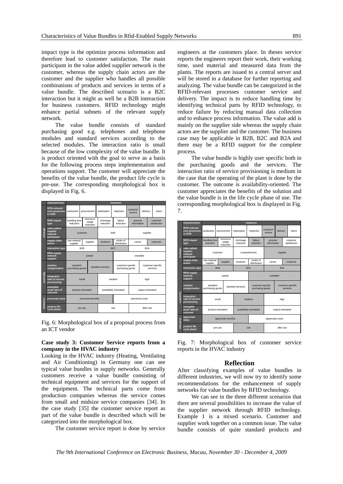impact type is the optimize process information and therefore lead to customer satisfaction. The main participant in the value added supplier network is the customer, whereas the supply chain actors are the customer and the supplier who handles all possible combinations of products and services in terms of a value bundle. The described scenario is a B2C interaction but it might as well be a B2B interaction for business customers. RFID technology might enhance partial subnets of the relevant supply network.

The value bundle consists of standard purchasing good e.g. telephones and telephone modules and standard services according to the selected modules. The interaction ratio is small because of the low complexity of the value bundle. It is product oriented with the goal to serve as a basis for the following process steps implementation and operations support. The customer will appreciate the benefits of the value bundle, the product life cycle is pre-use. The corresponding morphological box is displayed in Fig. 6.

|                         | characteristics                                   | instances                    |             |                                 |                         |                                      |                     |                        |                               |                          |  |
|-------------------------|---------------------------------------------------|------------------------------|-------------|---------------------------------|-------------------------|--------------------------------------|---------------------|------------------------|-------------------------------|--------------------------|--|
| strategic               | <b>RFID-relevant</b><br>core processes<br>in SCM  | production                   | procurement |                                 | redemption              | shipment                             | customer<br>service | delivery               |                               | return                   |  |
|                         | <b>RFID impact</b><br>type                        | handling time<br>reduction   |             | ressource<br>usage<br>reduction | shrinkage<br>reduction  | failure<br>reduction                 |                     | process<br>information |                               | customer<br>satisfaction |  |
|                         | value added<br>supplier<br>network<br>participant | customer                     |             |                                 | both                    |                                      | supplier            |                        |                               |                          |  |
|                         | supply chain<br>actors                            | raw-material<br>supplier     |             | supplier                        | producer                | center of<br>distribution            |                     | carrier                |                               | customer                 |  |
|                         | interaction type                                  | B <sub>2</sub> B             |             |                                 | B <sub>2C</sub>         |                                      |                     | B <sub>2</sub> A       |                               |                          |  |
|                         | <b>RFID supply</b><br>network<br>support          | partial                      |             |                                 |                         | complete                             |                     |                        |                               |                          |  |
|                         | solution<br>categorization                        | standard<br>purchasing goods |             |                                 | standard services       | customer-specific<br>puchasing goods |                     |                        | customer-specific<br>services |                          |  |
| assembly<br>utilization | integration<br>ratio of service<br>provisioning   | small                        |             |                                 | medium                  |                                      | high                |                        |                               |                          |  |
|                         | intangible<br>asset ratio of<br>outcome           | product-orientated           |             |                                 | availability-orientated |                                      |                     | output-orientated      |                               |                          |  |
|                         | preceived value                                   | preceived benefits           |             |                                 |                         |                                      |                     |                        | preceived costs               |                          |  |
|                         | product life<br>cycle phase                       |                              | pre-use     |                                 | <b>USB</b>              |                                      | after-use           |                        |                               |                          |  |

Fig. 6: Morphological box of a proposal process from an ICT vendor

#### **Case study 3: Customer Service reports from a company in the HVAC industry**

Looking in the HVAC industry (Heating, Ventilating and Air Conditioning) in Germany one can see typical value bundles in supply networks. Generally customers receive a value bundle consisting of technical equipment and services for the support of the equipment. The technical parts come from production companies whereas the service comes from small and midsize service companies [34]. In the case study [35] the customer service report as part of the value bundle is described which will be categorized into the morphological box.

The customer service report is done by service

engineers at the customers place. In theses service reports the engineers report their work, their working time, used material and measured data from the plants. The reports are issued to a central server and will be stored in a database for further reporting and analyzing. The value bundle can be categorized in the RFID-relevant processes customer service and delivery. The impact is to reduce handling time by identifying technical parts by RFID technology, to reduce failure by reducing manual data collection and to enhance process information. The value add is mainly on the supplier side whereas the supply chain actors are the supplier and the customer. The business case may be applicable in B2B, B2C and B2A and there may be a RFID support for the complete process.

The value bundle is highly user specific both in the purchasing goods and the services. The interaction ratio of service provisioning is medium in the case that the operating of the plant is done by the customer. The outcome is availability-oriented. The customer appreciates the benefits of the solution and the value bundle is in the life cycle phase of use. The corresponding morphological box is displayed in Fig. 7.

|             | characteristics                                   | instances                    |         |                                                           |                         |                                      |                     |                               |          |                          |
|-------------|---------------------------------------------------|------------------------------|---------|-----------------------------------------------------------|-------------------------|--------------------------------------|---------------------|-------------------------------|----------|--------------------------|
| strategic   | <b>RFID-relevant</b><br>core processes<br>in SCM  | production                   |         | procurement                                               | redemption              | shipment                             | customer<br>service | delivery                      |          | return.                  |
|             | <b>RFID impact</b><br>type                        | handling time<br>reduction   |         | ressource<br>shrinkage<br>usage<br>reduction<br>reduction |                         | failure<br>reduction                 |                     | process<br>information        |          | customer<br>satisfaction |
|             | value added<br>supplier<br>network<br>participant | customer                     |         |                                                           | comprehensive           |                                      | supplier            |                               |          |                          |
|             | supply chain<br>actors                            | raw-material<br>supplier     |         | supplier                                                  | producer                | center of<br>distribution            | carrier             |                               | customer |                          |
|             | interaction type                                  | B <sub>2</sub> B             |         |                                                           | B <sub>2C</sub>         |                                      | B <sub>2</sub> A    |                               |          |                          |
|             | <b>RFID supply</b><br>network<br>support          |                              |         | partial                                                   |                         | complete                             |                     |                               |          |                          |
|             | solution<br>categorization                        | standard<br>purchasing goods |         |                                                           | standard services       | customer-specific<br>puchasing goods |                     | customer-specific<br>services |          |                          |
| assembly    | integration<br>ratio of service<br>provisioning   | small                        |         |                                                           | medium                  |                                      | high                |                               |          |                          |
|             | intangible<br>asset ratio of<br>outcome           | product-orientated           |         |                                                           | availability-orientated |                                      |                     | output-orientated             |          |                          |
| utilization | appreciate<br>value                               | appreciate benefits          |         |                                                           |                         |                                      | appreciate costs    |                               |          |                          |
|             | product life<br>cycle phase                       |                              | pre-use |                                                           | <b>USB</b>              |                                      | after-use           |                               |          |                          |

Fig. 7: Morphological box of customer service reports in the HVAC industry

## **Reflection**

After classifying examples of value bundles in different industries, we will now try to identify some recommendations for the enhancement of supply networks for value bundles by RFID technology.

We can see in the three different scenarios that there are several possibilities to increase the value of the supplier network through RFID technology. Example 1 is a mixed scenario. Customer and supplier work together on a common issue. The value bundle consists of quite standard products and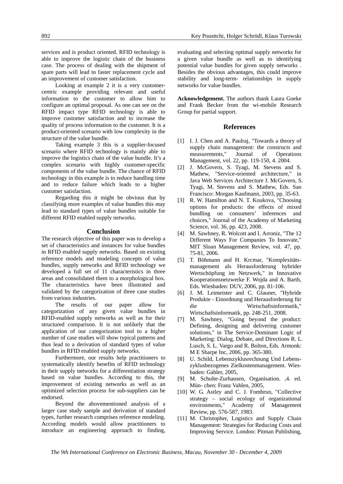services and is product oriented. RFID technology is able to improve the logistic chain of the business case. The process of dealing with the shipment of spare parts will lead to faster replacement cycle and an improvement of customer satisfaction.

Looking at example 2 it is a very customercentric example providing relevant and useful information to the customer to allow him to configure an optimal proposal. As one can see on the RFID impact type RFID technology is able to improve customer satisfaction and to increase the quality of process information to the customer. It is a product-oriented scenario with low complexity in the structure of the value bundle.

Taking example 3 this is a supplier-focused scenario where RFID technology is mainly able to improve the logistics chain of the value bundle. It's a complex scenario with highly customer-specific components of the value bundle. The chance of RFID technology in this example is to reduce handling time and to reduce failure which leads to a higher customer satisfaction.

Regarding this it might be obvious that by classifying more examples of value bundles this may lead to standard types of value bundles suitable for different RFID enabled supply networks.

#### **Conclusion**

The research objective of this paper was to develop a set of characteristics and instances for value bundles in RFID enabled supply networks. Based on existing reference models and modeling concepts of value bundles, supply networks and RFID technology we developed a full set of 11 characteristics in three areas and consolidated them to a morphological box. The characteristics have been illustrated and validated by the categorization of three case studies from various industries.

The results of our paper allow for categorization of any given value bundles in RFID-enabled supply networks as well as for their structured comparison. It is not unlikely that the application of our categorization tool to a higher number of case studies will show typical patterns and thus lead to a derivation of standard types of value bundles in RFID enabled supply networks.

Furthermore, our results help practitioners to systematically identify benefits of RFID technology in their supply networks for a differentiation strategy based on value bundles. According to this, the improvement of existing networks as well as an optimized selection process for sub-suppliers can be endorsed.

Beyond the abovementioned analysis of a larger case study sample and derivation of standard types, further research comprises reference modeling. According models would allow practitioners to introduce an engineering approach to finding,

evaluating and selecting optimal supply networks for a given value bundle as well as to identifying potential value bundles for given supply networks . Besides the obvious advantages, this could improve stability and long-term- relationships in supply networks for value bundles.

**Acknowledgement.** The authors thank Laura Goeke and Frank Becker from the wi-mobile Research Group for partial support.

#### **References**

- [1] I. J. Chen and A. Paulraj, "Towards a theory of supply chain management: the constructs and<br>measurements," Journal of Operations Journal of Operations Management, vol. 22, pp. 119-150, 4. 2004.
- [2] J. McGovern, S. Tyagi, M. Stevens and S. Mathew, "Service-oriented architecture," in Java Web Services Architecture J. McGovern, S. Tyagi, M. Stevens and S. Mathew, Eds. San Francisco: Morgan Kaufmann, 2003, pp. 35-63.
- [3] R. W. Hamilton and N. T. Koukova, "Choosing options for products: the effects of mixed bundling on consumers' inferences and choices," Journal of the Academy of Marketing Science, vol. 36, pp. 423, 2008.
- [4] M. Sawhney, R. Wolcott and I. Arroniz, "The 12 Different Ways For Companies To Innovate," MIT Sloan Management Review, vol. 47, pp. 75-81, 2006.
- [5] T. Böhmann and H. Krcmar, "Komplexitätsmanagement als Herausforderung hybrider Wertschöpfung im Netzwerk," in Innovative Kooperationsnetzwerke F. Wojda and A. Barth, Eds. Wiesbaden: DUV, 2006, pp. 81-106.
- [6] J. M. Leimeister and C. Glauner, "Hybride Produkte - Einordnung und Herausforderung für die Wirtschaftsinformatik," Wirtschaftsinformatik, pp. 248-251, 2008.
- [7] M. Sawhney, "Going beyond the product: Defining, designing and delivering customer solutions," in The Service-Dominant Logic of Marketing: Dialog, Debate, and Directions R. L. Lusch, S. L. Vargo and R. Bolton, Eds. Armonk: M E Sharpe Inc, 2006, pp. 365-380.
- [8] U. Schild, Lebenszyklusrechnung Und Lebenszyklusbezogenes Zielkostenmanagement. Wiesbaden: Gabler, 2005,
- [9] M. Schulte-Zurhausen, Organisation. ,4. ed. Mün- chen: Franz Vahlen, 2005,
- [10] W. G. Astley and C. J. Fombrun, "Collective strategy – social ecology of organizational environments," Academy of Management Review, pp. 576-587, 1983.
- [11] M. Christopher, Logistics and Supply Chain Management: Strategies for Reducing Costs and Improving Service. London: Pitman Publishing,